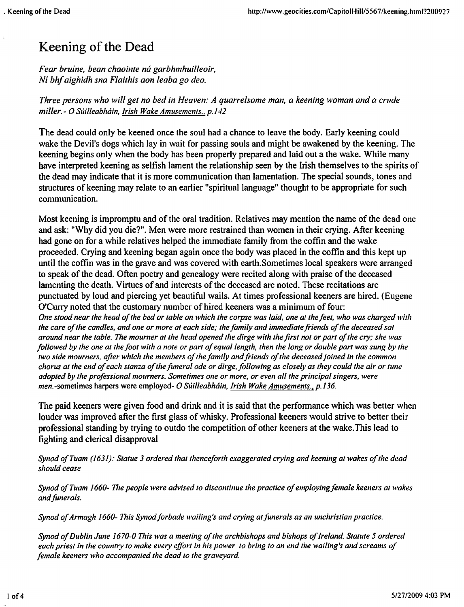## Keening of the Dead

Fear bruine, bean chaointe ná garbhmhuilleoir, Ni bhf aighidh sna Flaithis aon leaba go deo.

Three persons who will get no bed in Heaven: A quarrelsome man, a keening woman and a crude miller. - O Súilleabháin, Irish Wake Amusements., p.142

The dead could only be keened once the soul had chance to leave the body. Early keening could wake the Devil's dogs which lay in wait for passing souls and might be awakened by the keening. The keening begins only when the body has been properly prepared and laid out a the wake. While many have interpreted keening as selfish lament the relationship seen by the Irish themselves to the spirits of the dead may indicate that it is more communication than lamentation. The special sounds, tones and structures of keening may relate to an earlier "spiritual language" thought to be appropriate for such communication.

Most keening is impromptu and of the oral tradition. Relatives may mention the name of the dead one and ask: "Why did you die?". Men were more restrained than women in their crying. After keening had gone on for a while relatives helped the immediate family from the coffin and the wake proceeded. Crying and keening began again once the body was placed in the coffin and this kept up until the coffin was in the grave and was covered with earth.Sometimes local speakers were arranged to speak of the dead. Often poetry and genealogy were recited along with praise of the deceased lamenting the death. Virtues of and interests of the deceased are noted. These recitations are punctuated by loud and piercing yet beautiful wails. At times professional keeners are hired. (Eugene O'Curry noted that the customary number of hired keeners was minimum of four: One stood near the head of the bed or table on which the corpse was laid, one at the feet, who was charged with the care of the candles, and one or more at each side; the family and immediate friends of the deceased sat around near the table. The mourner at the head opened the dirge with the first not or part of the cry; she was followed by the one at the foot with a note or part of equal length, then the long or double part was sung by the two side mourners, after which the members of the family and friends of the deceased joined in the common chorus at the end ofeach stanza ofthe funeral ode or dirge, following as closely as they could the air or tune adopted by the professional mourners. Sometimes one or more, or even all the principal singers, were men.-sometimes harpers were employed-  $O$  Suilleabháin, Irish Wake Amusements., p.136.

The paid keeners were given food and drink and it is said that the performance which was better when louder was improved after the first glass of whisky. Professional keeners would strive to better their professional standing by trying to outdo the competition of other keeners at the wake.This lead to fighting and clerical disapproval

Synod of Tuam (1631): Statue 3 ordered that thenceforth exaggerated crying and keening at wakes of the dead should cease

Synod of Tuam 1660- The people were advised to discontinue the practice of employing female keeners at wakes and funerals.

Synod of Armagh 1660- This Synod forbade wailing's and crying at funerals as an unchristian practice.

Synod of Dublin June 1670-0 This was a meeting of the archbishops and bishops of Ireland. Statute 5 ordered each priest in the country to make every effort in his power to bring to an end the wailing's and screams of female keeners who accompanied the dead to the graveyard.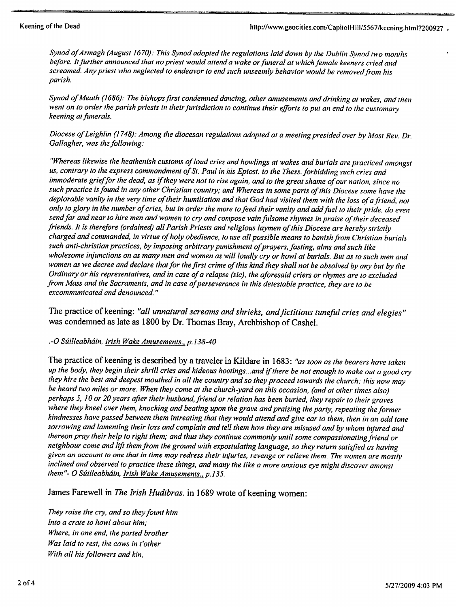Synod of Armagh (August 1670): This Synod adopted the regulations laid down by the Dublin Synod two months before. It further announced that no priest would attend a wake or funeral at which female keeners cried and screamed. Any priest who neglected to endeavor to end such unseemly behavior would be removed from his parish.

Synod of Meath (1686): The bishops first condemned dancing, other amusements and drinking at wakes, and then went on to order the parish priests in their jurisdiction to continue their efforts to put an end to the customary keening at funerals.

Diocese of Leighlin (1748): Among the diocesan regulations adopted at a meeting presided over by Most Rev. Dr. Gallagher, was the following:

"Whereas likewise the heathenish customs of loud cries and howlings at wakes and burials are practiced amongst us, contrary to the express commandment of St. Paul in his Epiost. to the Thess. forbidding such cries and immoderate grief for the dead, as if they were not to rise again, and to the great shame of our nation, since no such practice is found in any other Christian country; and Whereas in some parts of this Diocese some have the deplorable vanity in the very time of their humiliation and that God had visited them with the loss of a friend, not only to glory in the number of cries, but in order the more to feed their vanity and add fuel to their pride, do even send far and near to hire men and women to cry and compose vain fulsome rhymes in praise of their deceased friends. It is therefore (ordained) all Parish Priests and religious laymen of this Diocese are hereby strictly charged and commanded, in virtue of holy obedience, to use all possible means to banish from Christian burials such anti-christian practices, by imposing arbitrary punishment of prayers, fasting, alms and such like wholesome injunctions on as many men and women as will loudly cry or howl at burials. But as to such men and women as we decree and declare that for the first crime of this kind they shall not be absolved by any but by the Ordinary or his representatives, and in case of a relapse (sic), the aforesaid criers or rhymes are to excluded from Mass and the Sacraments, and in case of perseverance in this detestable practice, they are to be excommunicated and denounced."

The practice of keening: "all unnatural screams and shrieks, and fictitious tuneful cries and elegies" was condemned as late as 1800 by Dr. Thomas Bray, Archbishop of Cashel.

## .-O Súilleabháin, Irish Wake Amusements., p.138-40

The practice of keening is described by a traveler in Kildare in 1683: "as soon as the bearers have taken up the body, they begin their shrill cries and hideous hootings...and if there be not enough to make out a good cry they hire the best and deepest mouthed in all the country and so they proceed towards the church; this now may be heard two miles or more. When they come at the church-yard on this occasion, (and at other times also) perhaps 5, 10 or 20 years after their husband, friend or relation has been buried, they repair to their graves where they kneel over them, knocking and beating upon the grave and praising the party, repeating the former kindnesses have passed between them intreating that they would attend and give ear to them, then in an odd tone sorrowing and lamenting their loss and complain and tell them how they are misused and by whom injured and thereon pray their help to right them; and thus they continue commonly until some compassionating friend or neighbour come and lift them from the ground with expostulating language, so they return satisfied as having given an account to one that in time may redress their injuries, revenge or relieve them. The women are mostly inclined and observed to practice these things, and many the like a more anxious eye might discover amonst them"- O Súilleabháin, Irish Wake Amusements., p.135.

James Farewell in The Irish Hudibras. in 1689 wrote of keening women:

They raise the cry, and so they fount him Into a crate to howl about him; Where, in one end, the parted brother Was laid to rest, the cows in t'other With all his followers and kin,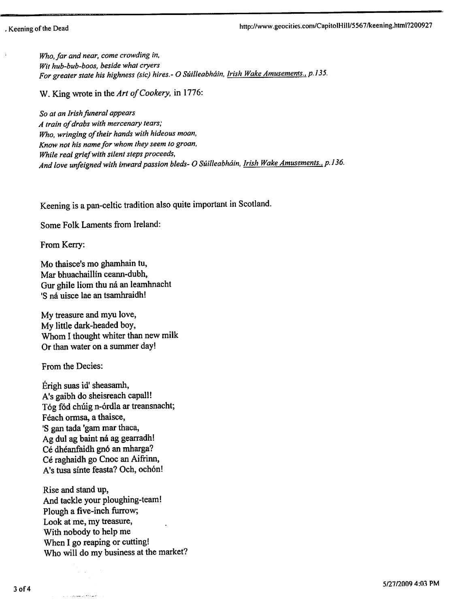Who, far and near, come crowding in, Wit hub-bub-boos, beside what cryers For greater state his highness (sic) hires.- O Súilleabháin, Irish Wake Amusements., p.135.

W. King wrote in the Art of Cookery, in 1776:

So at an Irish funeral appears A train of drabs with mercenary tears; Who, wringing of their hands with hideous moan, Know not his name for whom they seem to groan, While real grief with silent steps proceeds, And love unfeigned with inward passion bleds- O Súilleabháin, *Irish Wake Amusements., p.136.* 

Keening is a pan-celtic tradition also quite important in Scotland.

Some Folk Laments from Ireland:

From Kerry:

Mo thaisce's mo ghamhain tu, Mar bhuachaillin ceann-dubh, Gur ghile liom thu ná an leamhnacht 'S ná uisce lae an tsamhraidh!

My treasure and myu love, My little dark-headed boy, Whom I thought whiter than new milk Or than water on a summer day!

From the Decies:

Érigh suas id' sheasamh, A's gaibh do sheisreach capall! Tóg fód chúig n-órdla ar treansnacht; Féach ormsa, a thaisce, 'S gan tada 'gam mar thaca, Ag dul ag baint ná ag gearradh! Cé dhéanfaidh gnó an mharga? Cé raghaidh go Cnoc an Aifrinn, A's tusa sinte feasta? Och, ochón!

Rise and stand up, And tackle your ploughing-team! Plough a five-inch furrow; Look at me, my treasure, With nobody to help me When I go reaping or cutting! Who will do my business at the market?

المحسنة والمحافظ والمتعادي والمداري